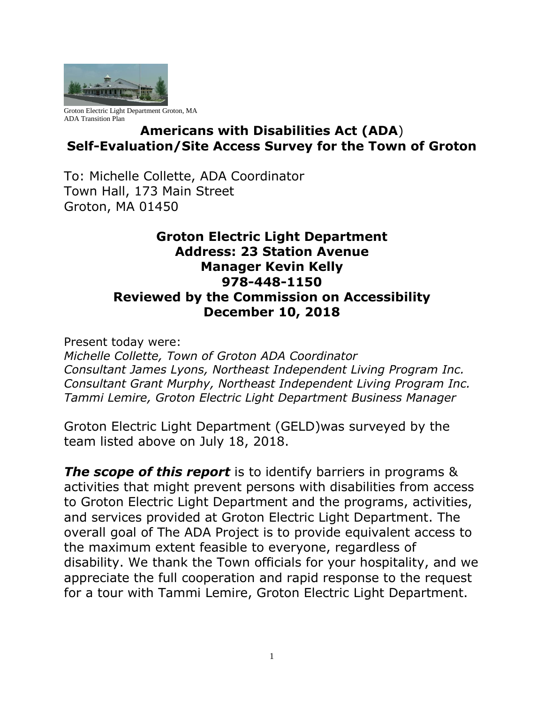

Groton Electric Light Department Groton, MA ADA Transition Plan

## **Americans with Disabilities Act (ADA**) **Self-Evaluation/Site Access Survey for the Town of Groton**

To: Michelle Collette, ADA Coordinator Town Hall, 173 Main Street Groton, MA 01450

## **Groton Electric Light Department Address: 23 Station Avenue Manager Kevin Kelly 978-448-1150 Reviewed by the Commission on Accessibility December 10, 2018**

Present today were:

*Michelle Collette, Town of Groton ADA Coordinator Consultant James Lyons, Northeast Independent Living Program Inc. Consultant Grant Murphy, Northeast Independent Living Program Inc. Tammi Lemire, Groton Electric Light Department Business Manager*

Groton Electric Light Department (GELD)was surveyed by the team listed above on July 18, 2018.

*The scope of this report* is to identify barriers in programs & activities that might prevent persons with disabilities from access to Groton Electric Light Department and the programs, activities, and services provided at Groton Electric Light Department. The overall goal of The ADA Project is to provide equivalent access to the maximum extent feasible to everyone, regardless of disability. We thank the Town officials for your hospitality, and we appreciate the full cooperation and rapid response to the request for a tour with Tammi Lemire, Groton Electric Light Department.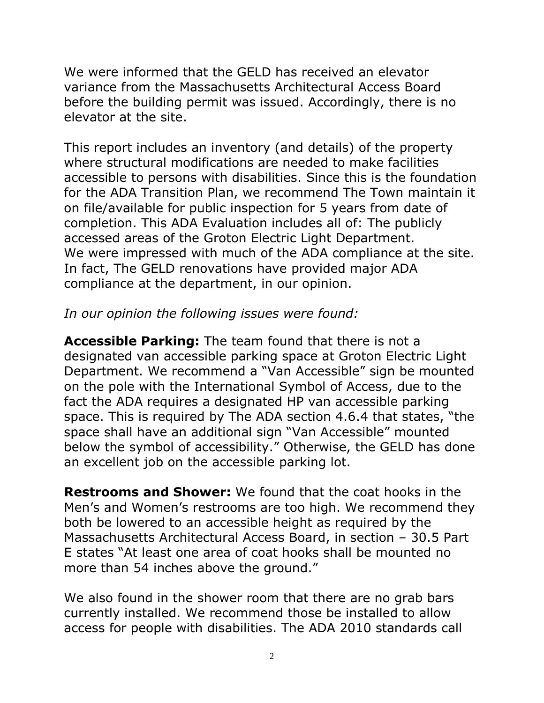We were informed that the GELD has received an elevator variance from the Massachusetts Architectural Access Board before the building permit was issued. Accordingly, there is no elevator at the site.

This report includes an inventory (and details) of the property where structural modifications are needed to make facilities accessible to persons with disabilities. Since this is the foundation for the ADA Transition Plan, we recommend The Town maintain it on file/available for public inspection for 5 years from date of completion. This ADA Evaluation includes all of: The publicly accessed areas of the Groton Electric Light Department. We were impressed with much of the ADA compliance at the site. In fact, The GELD renovations have provided major ADA compliance at the department, in our opinion.

## *In our opinion the following issues were found:*

**Accessible Parking:** The team found that there is not a designated van accessible parking space at Groton Electric Light Department. We recommend a "Van Accessible" sign be mounted on the pole with the International Symbol of Access, due to the fact the ADA requires a designated HP van accessible parking space. This is required by The ADA section 4.6.4 that states, "the space shall have an additional sign "Van Accessible" mounted below the symbol of accessibility." Otherwise, the GELD has done an excellent job on the accessible parking lot.

**Restrooms and Shower:** We found that the coat hooks in the Men's and Women's restrooms are too high. We recommend they both be lowered to an accessible height as required by the Massachusetts Architectural Access Board, in section – 30.5 Part E states "At least one area of coat hooks shall be mounted no more than 54 inches above the ground."

We also found in the shower room that there are no grab bars currently installed. We recommend those be installed to allow access for people with disabilities. The ADA 2010 standards call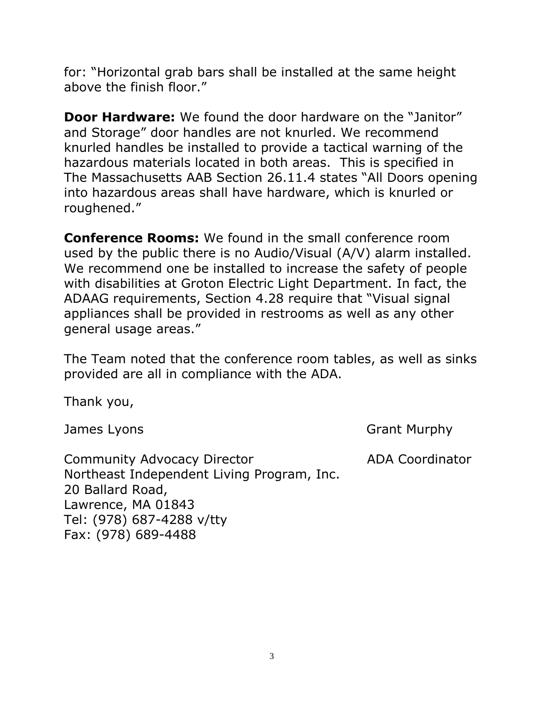for: "Horizontal grab bars shall be installed at the same height above the finish floor."

**Door Hardware:** We found the door hardware on the "Janitor" and Storage" door handles are not knurled. We recommend knurled handles be installed to provide a tactical warning of the hazardous materials located in both areas. This is specified in The Massachusetts AAB Section 26.11.4 states "All Doors opening into hazardous areas shall have hardware, which is knurled or roughened."

**Conference Rooms:** We found in the small conference room used by the public there is no Audio/Visual (A/V) alarm installed. We recommend one be installed to increase the safety of people with disabilities at Groton Electric Light Department. In fact, the ADAAG requirements, Section 4.28 require that "Visual signal appliances shall be provided in restrooms as well as any other general usage areas."

The Team noted that the conference room tables, as well as sinks provided are all in compliance with the ADA.

Thank you,

James Lyons Grant Murphy

Community Advocacy Director **ADA Coordinator** Northeast Independent Living Program, Inc. 20 Ballard Road, Lawrence, MA 01843 Tel: (978) 687-4288 v/tty Fax: (978) 689-4488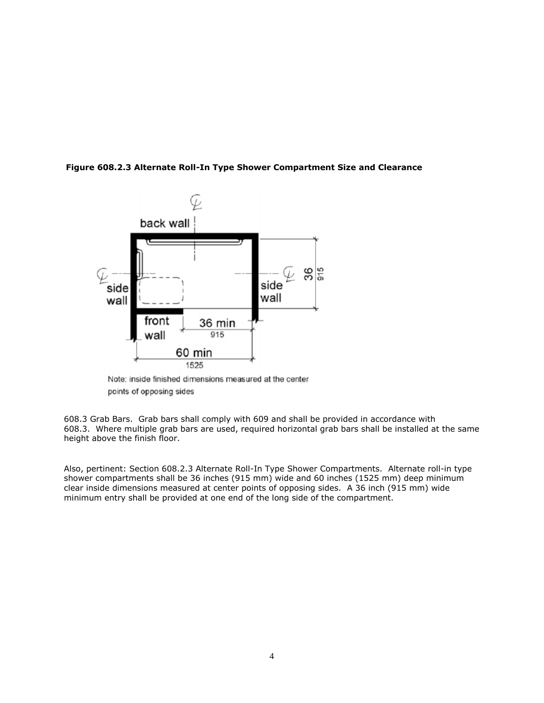

**Figure 608.2.3 Alternate Roll-In Type Shower Compartment Size and Clearance**

Note: inside finished dimensions measured at the center points of opposing sides

608.3 Grab Bars. Grab bars shall comply with 609 and shall be provided in accordance with 608.3. Where multiple grab bars are used, required horizontal grab bars shall be installed at the same height above the finish floor.

Also, pertinent: Section 608.2.3 Alternate Roll-In Type Shower Compartments. Alternate roll-in type shower compartments shall be 36 inches (915 mm) wide and 60 inches (1525 mm) deep minimum clear inside dimensions measured at center points of opposing sides. A 36 inch (915 mm) wide minimum entry shall be provided at one end of the long side of the compartment.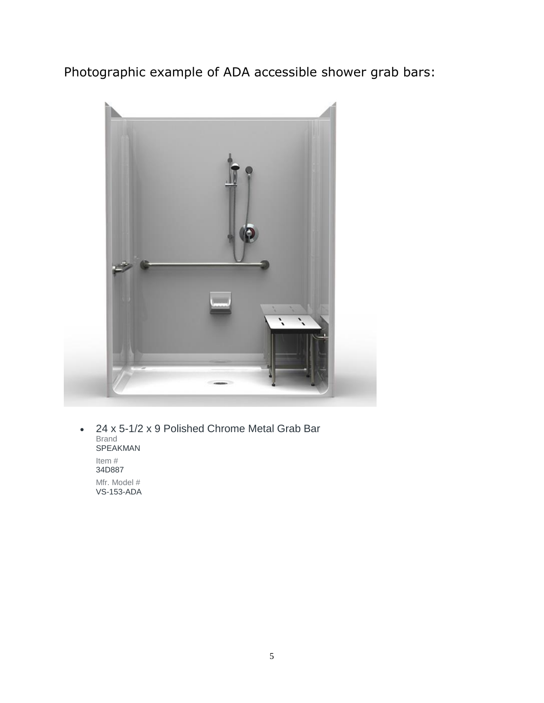Photographic example of ADA accessible shower grab bars:



• 24 x 5-1/2 x 9 Polished Chrome Metal Grab Bar Brand SPEAKMAN Item # 34D887 Mfr. Model #

VS-153-ADA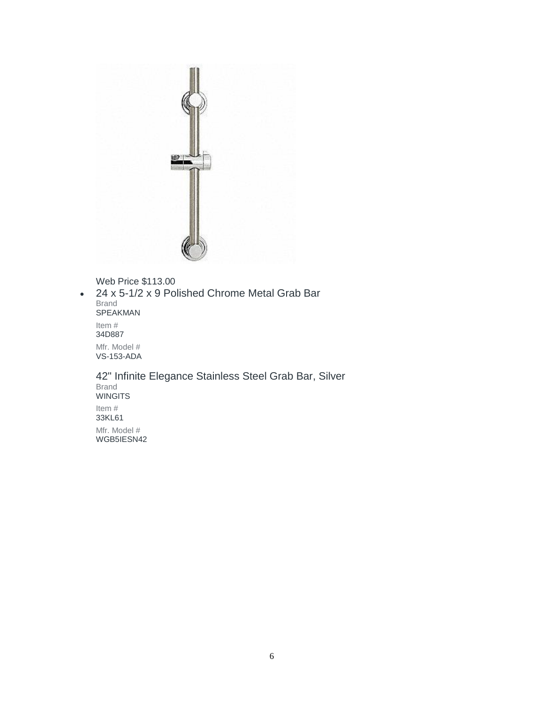

Web Price \$113.00

• 24 x 5-1/2 x 9 Polished Chrome Metal Grab Bar Brand SPEAKMAN Item # 34D887 Mfr. Model # VS-153-ADA

42" Infinite Elegance Stainless Steel Grab Bar, Silver Brand **WINGITS** Item # 33KL61 Mfr. Model # WGB5IESN42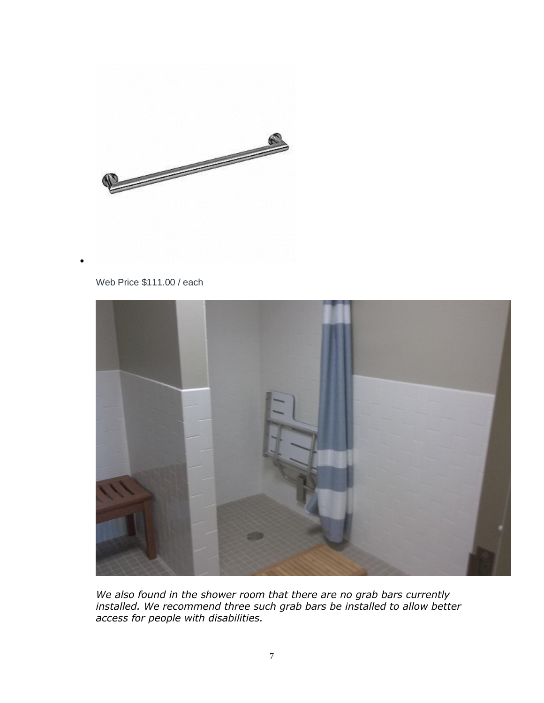

## Web Price \$111.00 / each

•



*We also found in the shower room that there are no grab bars currently installed. We recommend three such grab bars be installed to allow better access for people with disabilities.*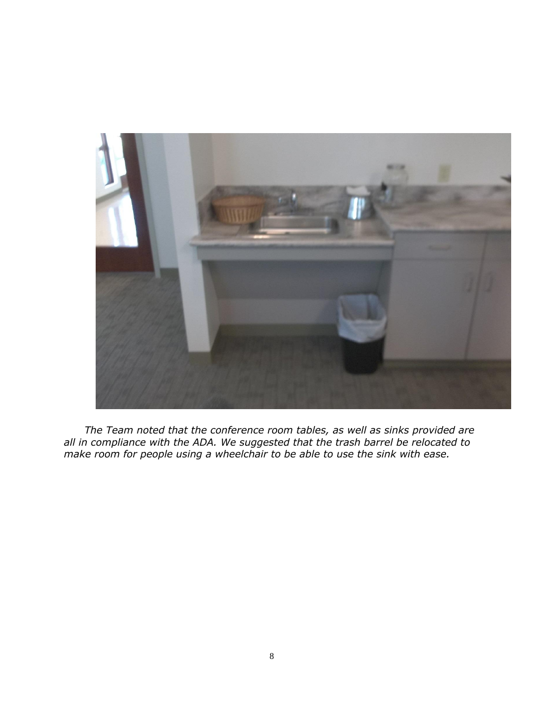

 *The Team noted that the conference room tables, as well as sinks provided are all in compliance with the ADA. We suggested that the trash barrel be relocated to make room for people using a wheelchair to be able to use the sink with ease.*